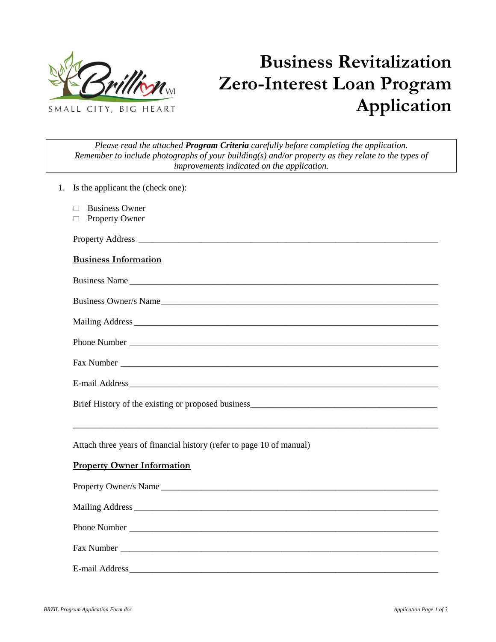

# **Business Revitalization Zero-Interest Loan Program Application**

*Please read the attached Program Criteria carefully before completing the application. Remember to include photographs of your building(s) and/or property as they relate to the types of improvements indicated on the application.*

- 1. Is the applicant the (check one):
	- $\Box$  Business Owner
	- □ Property Owner

Property Address \_\_\_\_\_\_\_\_\_\_\_\_\_\_\_\_\_\_\_\_\_\_\_\_\_\_\_\_\_\_\_\_\_\_\_\_\_\_\_\_\_\_\_\_\_\_\_\_\_\_\_\_\_\_\_\_\_\_\_\_\_\_\_\_\_\_\_ **Business Information**  Business Name \_\_\_\_\_\_\_\_\_\_\_\_\_\_\_\_\_\_\_\_\_\_\_\_\_\_\_\_\_\_\_\_\_\_\_\_\_\_\_\_\_\_\_\_\_\_\_\_\_\_\_\_\_\_\_\_\_\_\_\_\_\_\_\_\_\_\_\_\_

| Business Owner/s Name |  |  |
|-----------------------|--|--|
|                       |  |  |

| Mailing Add<br>тиание<br><i>L</i> egal |  |  |
|----------------------------------------|--|--|
| c                                      |  |  |

| Phone Number |  |  |
|--------------|--|--|
|              |  |  |

\_\_\_\_\_\_\_\_\_\_\_\_\_\_\_\_\_\_\_\_\_\_\_\_\_\_\_\_\_\_\_\_\_\_\_\_\_\_\_\_\_\_\_\_\_\_\_\_\_\_\_\_\_\_\_\_\_\_\_\_\_\_\_\_\_\_\_\_\_\_\_\_\_\_\_\_\_\_\_\_\_\_

Fax Number \_\_\_\_\_\_\_\_\_\_\_\_\_\_\_\_\_\_\_\_\_\_\_\_\_\_\_\_\_\_\_\_\_\_\_\_\_\_\_\_\_\_\_\_\_\_\_\_\_\_\_\_\_\_\_\_\_\_\_\_\_\_\_\_\_\_\_\_\_\_\_

E-mail Address

Brief History of the existing or proposed business\_\_\_\_\_\_\_\_\_\_\_\_\_\_\_\_\_\_\_\_\_\_\_\_\_\_\_\_\_\_\_\_\_\_\_\_\_\_\_\_\_\_

Attach three years of financial history (refer to page 10 of manual)

#### **Property Owner Information**

| Property Owner/s Name |
|-----------------------|
|                       |
|                       |
|                       |
|                       |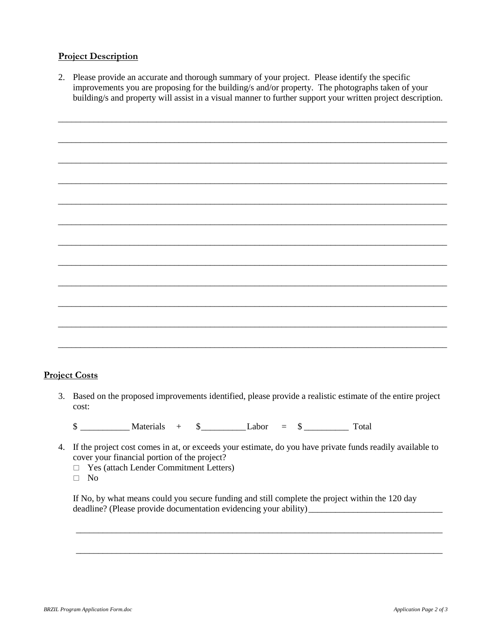### **Project Description**

2. Please provide an accurate and thorough summary of your project. Please identify the specific improvements you are proposing for the building/s and/or property. The photographs taken of your building/s and property will assist in a visual manner to further support your written project description.

\_\_\_\_\_\_\_\_\_\_\_\_\_\_\_\_\_\_\_\_\_\_\_\_\_\_\_\_\_\_\_\_\_\_\_\_\_\_\_\_\_\_\_\_\_\_\_\_\_\_\_\_\_\_\_\_\_\_\_\_\_\_\_\_\_\_\_\_\_\_\_\_\_\_\_\_\_\_\_\_\_\_\_\_\_\_\_

#### **Project Costs**

3. Based on the proposed improvements identified, please provide a realistic estimate of the entire project cost:

 $\text{\$}$  Materials +  $\text{\$}$  Labor =  $\text{\$}$  Total

- 4. If the project cost comes in at, or exceeds your estimate, do you have private funds readily available to cover your financial portion of the project?
	- □ Yes (attach Lender Commitment Letters)
	- $\Box$  No

If No, by what means could you secure funding and still complete the project within the 120 day deadline? (Please provide documentation evidencing your ability)

\_\_\_\_\_\_\_\_\_\_\_\_\_\_\_\_\_\_\_\_\_\_\_\_\_\_\_\_\_\_\_\_\_\_\_\_\_\_\_\_\_\_\_\_\_\_\_\_\_\_\_\_\_\_\_\_\_\_\_\_\_\_\_\_\_\_\_\_\_\_\_\_\_\_\_\_\_\_\_\_\_\_

\_\_\_\_\_\_\_\_\_\_\_\_\_\_\_\_\_\_\_\_\_\_\_\_\_\_\_\_\_\_\_\_\_\_\_\_\_\_\_\_\_\_\_\_\_\_\_\_\_\_\_\_\_\_\_\_\_\_\_\_\_\_\_\_\_\_\_\_\_\_\_\_\_\_\_\_\_\_\_\_\_\_